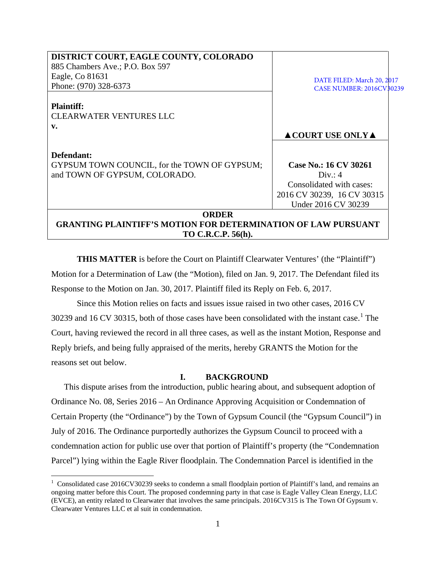| DISTRICT COURT, EAGLE COUNTY, COLORADO                               |                                        |
|----------------------------------------------------------------------|----------------------------------------|
| 885 Chambers Ave.; P.O. Box 597                                      |                                        |
| Eagle, Co 81631                                                      | DATE FILED: March 20, 2017             |
| Phone: (970) 328-6373                                                | <b>CASE NUMBER: 2016CV30239</b>        |
|                                                                      |                                        |
| <b>Plaintiff:</b>                                                    |                                        |
| <b>CLEARWATER VENTURES LLC</b>                                       |                                        |
| $\mathbf{v}$ .                                                       |                                        |
|                                                                      | $\triangle$ COURT USE ONLY $\triangle$ |
|                                                                      |                                        |
| Defendant:                                                           |                                        |
| GYPSUM TOWN COUNCIL, for the TOWN OF GYPSUM;                         | Case No.: 16 CV 30261                  |
| and TOWN OF GYPSUM, COLORADO.                                        | Div: 4                                 |
|                                                                      | Consolidated with cases:               |
|                                                                      | 2016 CV 30239, 16 CV 30315             |
|                                                                      | Under 2016 CV 30239                    |
| <b>ORDER</b>                                                         |                                        |
| <b>GRANTING PLAINTIFF'S MOTION FOR DETERMINATION OF LAW PURSUANT</b> |                                        |
| TO C.R.C.P. 56(h).                                                   |                                        |

**THIS MATTER** is before the Court on Plaintiff Clearwater Ventures' (the "Plaintiff") Motion for a Determination of Law (the "Motion), filed on Jan. 9, 2017. The Defendant filed its Response to the Motion on Jan. 30, 2017. Plaintiff filed its Reply on Feb. 6, 2017.

Since this Motion relies on facts and issues issue raised in two other cases, 2016 CV 30239 and [1](#page-0-0)6 CV 30315, both of those cases have been consolidated with the instant case.<sup>1</sup> The Court, having reviewed the record in all three cases, as well as the instant Motion, Response and Reply briefs, and being fully appraised of the merits, hereby GRANTS the Motion for the reasons set out below.

## **I. BACKGROUND**

This dispute arises from the introduction, public hearing about, and subsequent adoption of Ordinance No. 08, Series 2016 – An Ordinance Approving Acquisition or Condemnation of Certain Property (the "Ordinance") by the Town of Gypsum Council (the "Gypsum Council") in July of 2016. The Ordinance purportedly authorizes the Gypsum Council to proceed with a condemnation action for public use over that portion of Plaintiff's property (the "Condemnation Parcel") lying within the Eagle River floodplain. The Condemnation Parcel is identified in the

<span id="page-0-0"></span> $\frac{1}{1}$ <sup>1</sup> Consolidated case 2016CV30239 seeks to condemn a small floodplain portion of Plaintiff's land, and remains an ongoing matter before this Court. The proposed condemning party in that case is Eagle Valley Clean Energy, LLC (EVCE), an entity related to Clearwater that involves the same principals. 2016CV315 is The Town Of Gypsum v. Clearwater Ventures LLC et al suit in condemnation.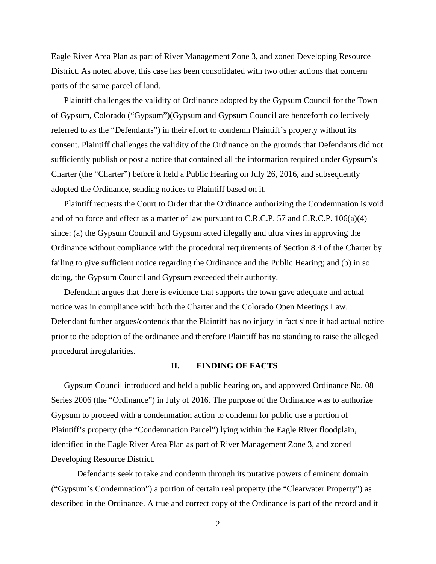Eagle River Area Plan as part of River Management Zone 3, and zoned Developing Resource District. As noted above, this case has been consolidated with two other actions that concern parts of the same parcel of land.

Plaintiff challenges the validity of Ordinance adopted by the Gypsum Council for the Town of Gypsum, Colorado ("Gypsum")(Gypsum and Gypsum Council are henceforth collectively referred to as the "Defendants") in their effort to condemn Plaintiff's property without its consent. Plaintiff challenges the validity of the Ordinance on the grounds that Defendants did not sufficiently publish or post a notice that contained all the information required under Gypsum's Charter (the "Charter") before it held a Public Hearing on July 26, 2016, and subsequently adopted the Ordinance, sending notices to Plaintiff based on it.

Plaintiff requests the Court to Order that the Ordinance authorizing the Condemnation is void and of no force and effect as a matter of law pursuant to C.R.C.P. 57 and C.R.C.P. 106(a)(4) since: (a) the Gypsum Council and Gypsum acted illegally and ultra vires in approving the Ordinance without compliance with the procedural requirements of Section 8.4 of the Charter by failing to give sufficient notice regarding the Ordinance and the Public Hearing; and (b) in so doing, the Gypsum Council and Gypsum exceeded their authority.

Defendant argues that there is evidence that supports the town gave adequate and actual notice was in compliance with both the Charter and the Colorado Open Meetings Law. Defendant further argues/contends that the Plaintiff has no injury in fact since it had actual notice prior to the adoption of the ordinance and therefore Plaintiff has no standing to raise the alleged procedural irregularities.

## **II. FINDING OF FACTS**

Gypsum Council introduced and held a public hearing on, and approved Ordinance No. 08 Series 2006 (the "Ordinance") in July of 2016. The purpose of the Ordinance was to authorize Gypsum to proceed with a condemnation action to condemn for public use a portion of Plaintiff's property (the "Condemnation Parcel") lying within the Eagle River floodplain, identified in the Eagle River Area Plan as part of River Management Zone 3, and zoned Developing Resource District.

Defendants seek to take and condemn through its putative powers of eminent domain ("Gypsum's Condemnation") a portion of certain real property (the "Clearwater Property") as described in the Ordinance. A true and correct copy of the Ordinance is part of the record and it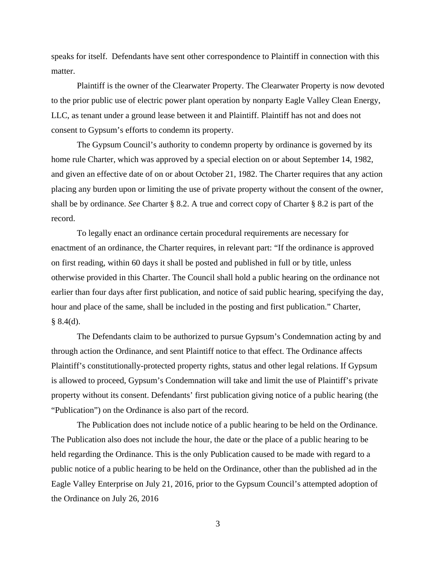speaks for itself. Defendants have sent other correspondence to Plaintiff in connection with this matter.

Plaintiff is the owner of the Clearwater Property. The Clearwater Property is now devoted to the prior public use of electric power plant operation by nonparty Eagle Valley Clean Energy, LLC, as tenant under a ground lease between it and Plaintiff. Plaintiff has not and does not consent to Gypsum's efforts to condemn its property.

The Gypsum Council's authority to condemn property by ordinance is governed by its home rule Charter, which was approved by a special election on or about September 14, 1982, and given an effective date of on or about October 21, 1982. The Charter requires that any action placing any burden upon or limiting the use of private property without the consent of the owner, shall be by ordinance. *See* Charter § 8.2. A true and correct copy of Charter § 8.2 is part of the record.

To legally enact an ordinance certain procedural requirements are necessary for enactment of an ordinance, the Charter requires, in relevant part: "If the ordinance is approved on first reading, within 60 days it shall be posted and published in full or by title, unless otherwise provided in this Charter. The Council shall hold a public hearing on the ordinance not earlier than four days after first publication, and notice of said public hearing, specifying the day, hour and place of the same, shall be included in the posting and first publication." Charter,  $§ 8.4(d).$ 

The Defendants claim to be authorized to pursue Gypsum's Condemnation acting by and through action the Ordinance, and sent Plaintiff notice to that effect. The Ordinance affects Plaintiff's constitutionally-protected property rights, status and other legal relations. If Gypsum is allowed to proceed, Gypsum's Condemnation will take and limit the use of Plaintiff's private property without its consent. Defendants' first publication giving notice of a public hearing (the "Publication") on the Ordinance is also part of the record.

The Publication does not include notice of a public hearing to be held on the Ordinance. The Publication also does not include the hour, the date or the place of a public hearing to be held regarding the Ordinance. This is the only Publication caused to be made with regard to a public notice of a public hearing to be held on the Ordinance, other than the published ad in the Eagle Valley Enterprise on July 21, 2016, prior to the Gypsum Council's attempted adoption of the Ordinance on July 26, 2016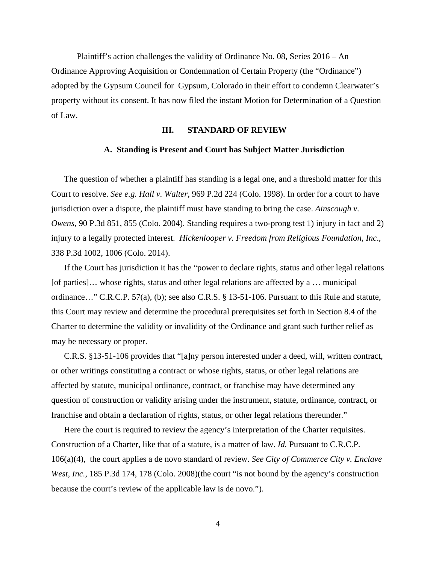Plaintiff's action challenges the validity of Ordinance No. 08, Series 2016 – An Ordinance Approving Acquisition or Condemnation of Certain Property (the "Ordinance") adopted by the Gypsum Council for Gypsum, Colorado in their effort to condemn Clearwater's property without its consent. It has now filed the instant Motion for Determination of a Question of Law.

#### **III. STANDARD OF REVIEW**

#### **A. Standing is Present and Court has Subject Matter Jurisdiction**

The question of whether a plaintiff has standing is a legal one, and a threshold matter for this Court to resolve. *See e.g. Hall v. Walter*, 969 P.2d 224 (Colo. 1998). In order for a court to have jurisdiction over a dispute, the plaintiff must have standing to bring the case. *Ainscough v. Owens*, 90 P.3d 851, 855 (Colo. 2004). Standing requires a two-prong test 1) injury in fact and 2) injury to a legally protected interest. *Hickenlooper v. Freedom from Religious Foundation, Inc*., 338 P.3d 1002, 1006 (Colo. 2014).

If the Court has jurisdiction it has the "power to declare rights, status and other legal relations [of parties]… whose rights, status and other legal relations are affected by a … municipal ordinance…" C.R.C.P. 57(a), (b); see also C.R.S. § 13-51-106. Pursuant to this Rule and statute, this Court may review and determine the procedural prerequisites set forth in Section 8.4 of the Charter to determine the validity or invalidity of the Ordinance and grant such further relief as may be necessary or proper.

C.R.S. §13-51-106 provides that "[a]ny person interested under a deed, will, written contract, or other writings constituting a contract or whose rights, status, or other legal relations are affected by statute, municipal ordinance, contract, or franchise may have determined any question of construction or validity arising under the instrument, statute, ordinance, contract, or franchise and obtain a declaration of rights, status, or other legal relations thereunder."

Here the court is required to review the agency's interpretation of the Charter requisites. Construction of a Charter, like that of a statute, is a matter of law. *Id.* Pursuant to C.R.C.P. 106(a)(4), the court applies a de novo standard of review. *See City of Commerce City v. Enclave West, Inc.*, 185 P.3d 174, 178 (Colo. 2008)(the court "is not bound by the agency's construction because the court's review of the applicable law is de novo.").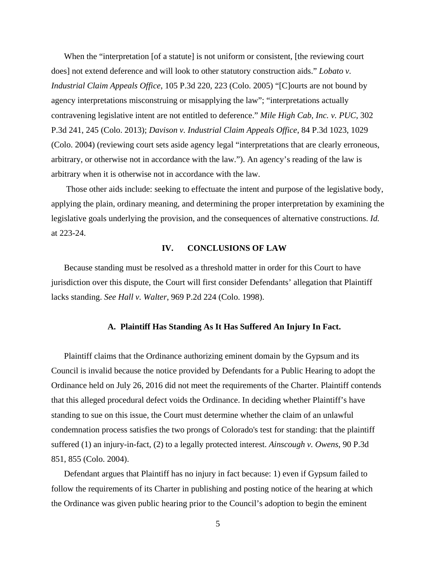When the "interpretation [of a statute] is not uniform or consistent, [the reviewing court does] not extend deference and will look to other statutory construction aids." *Lobato v. Industrial Claim Appeals Office*, 105 P.3d 220, 223 (Colo. 2005) "[C]ourts are not bound by agency interpretations misconstruing or misapplying the law"; "interpretations actually contravening legislative intent are not entitled to deference." *Mile High Cab, Inc. v. PUC*, 302 P.3d 241, 245 (Colo. 2013); *Davison v. Industrial Claim Appeals Office*, 84 P.3d 1023, 1029 (Colo. 2004) (reviewing court sets aside agency legal "interpretations that are clearly erroneous, arbitrary, or otherwise not in accordance with the law."). An agency's reading of the law is arbitrary when it is otherwise not in accordance with the law.

Those other aids include: seeking to effectuate the intent and purpose of the legislative body, applying the plain, ordinary meaning, and determining the proper interpretation by examining the legislative goals underlying the provision, and the consequences of alternative constructions. *Id.* at 223-24.

# **IV. CONCLUSIONS OF LAW**

Because standing must be resolved as a threshold matter in order for this Court to have jurisdiction over this dispute, the Court will first consider Defendants' allegation that Plaintiff lacks standing. *See Hall v. Walter*, 969 P.2d 224 (Colo. 1998).

#### **A. Plaintiff Has Standing As It Has Suffered An Injury In Fact.**

Plaintiff claims that the Ordinance authorizing eminent domain by the Gypsum and its Council is invalid because the notice provided by Defendants for a Public Hearing to adopt the Ordinance held on July 26, 2016 did not meet the requirements of the Charter. Plaintiff contends that this alleged procedural defect voids the Ordinance. In deciding whether Plaintiff's have standing to sue on this issue, the Court must determine whether the claim of an unlawful condemnation process satisfies the two prongs of Colorado's test for standing: that the plaintiff suffered (1) an injury-in-fact, (2) to a legally protected interest. *Ainscough v. Owens*, 90 P.3d 851, 855 (Colo. 2004).

Defendant argues that Plaintiff has no injury in fact because: 1) even if Gypsum failed to follow the requirements of its Charter in publishing and posting notice of the hearing at which the Ordinance was given public hearing prior to the Council's adoption to begin the eminent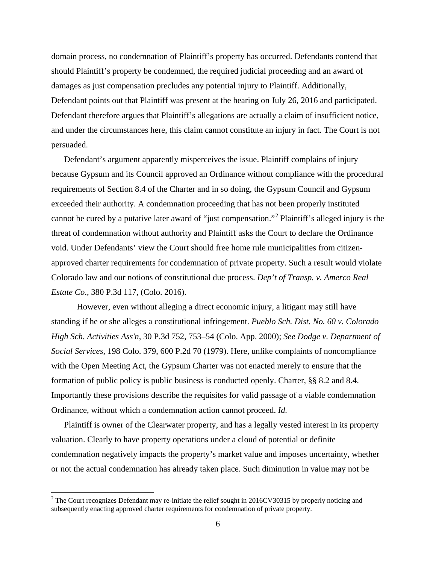domain process, no condemnation of Plaintiff's property has occurred. Defendants contend that should Plaintiff's property be condemned, the required judicial proceeding and an award of damages as just compensation precludes any potential injury to Plaintiff. Additionally, Defendant points out that Plaintiff was present at the hearing on July 26, 2016 and participated. Defendant therefore argues that Plaintiff's allegations are actually a claim of insufficient notice, and under the circumstances here, this claim cannot constitute an injury in fact. The Court is not persuaded.

Defendant's argument apparently misperceives the issue. Plaintiff complains of injury because Gypsum and its Council approved an Ordinance without compliance with the procedural requirements of Section 8.4 of the Charter and in so doing, the Gypsum Council and Gypsum exceeded their authority. A condemnation proceeding that has not been properly instituted cannot be cured by a putative later award of "just compensation."[2](#page-5-0) Plaintiff's alleged injury is the threat of condemnation without authority and Plaintiff asks the Court to declare the Ordinance void. Under Defendants' view the Court should free home rule municipalities from citizenapproved charter requirements for condemnation of private property. Such a result would violate Colorado law and our notions of constitutional due process. *Dep't of Transp. v. Amerco Real Estate Co*., 380 P.3d 117, (Colo. 2016).

However, even without alleging a direct economic injury, a litigant may still have standing if he or she alleges a constitutional infringement. *Pueblo Sch. Dist. No. 60 v. Colorado High Sch. Activities Ass'n*, 30 P.3d 752, 753–54 (Colo. App. 2000); *See Dodge v. Department of Social Services,* 198 Colo. 379, 600 P.2d 70 (1979). Here, unlike complaints of noncompliance with the Open Meeting Act, the Gypsum Charter was not enacted merely to ensure that the formation of public policy is public business is conducted openly. Charter, §§ 8.2 and 8.4. Importantly these provisions describe the requisites for valid passage of a viable condemnation Ordinance, without which a condemnation action cannot proceed. *Id.*

Plaintiff is owner of the Clearwater property, and has a legally vested interest in its property valuation. Clearly to have property operations under a cloud of potential or definite condemnation negatively impacts the property's market value and imposes uncertainty, whether or not the actual condemnation has already taken place. Such diminution in value may not be

<span id="page-5-0"></span><sup>&</sup>lt;sup>2</sup> The Court recognizes Defendant may re-initiate the relief sought in 2016CV30315 by properly noticing and subsequently enacting approved charter requirements for condemnation of private property.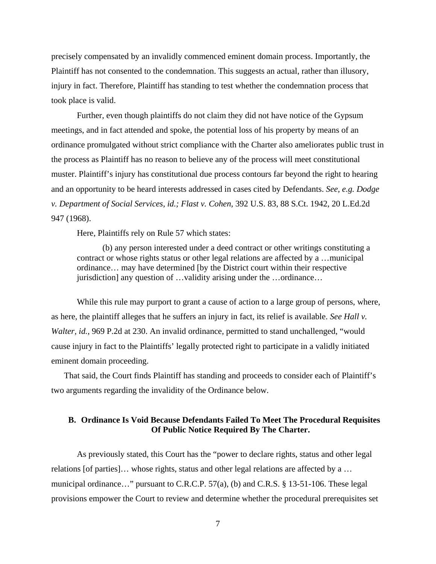precisely compensated by an invalidly commenced eminent domain process. Importantly, the Plaintiff has not consented to the condemnation. This suggests an actual, rather than illusory, injury in fact. Therefore, Plaintiff has standing to test whether the condemnation process that took place is valid.

Further, even though plaintiffs do not claim they did not have notice of the Gypsum meetings, and in fact attended and spoke, the potential loss of his property by means of an ordinance promulgated without strict compliance with the Charter also ameliorates public trust in the process as Plaintiff has no reason to believe any of the process will meet constitutional muster. Plaintiff's injury has constitutional due process contours far beyond the right to hearing and an opportunity to be heard interests addressed in cases cited by Defendants. *See, e.g. Dodge v. Department of Social Services, id.; Flast v. Cohen,* 392 U.S. 83, 88 S.Ct. 1942, 20 L.Ed.2d 947 (1968).

Here, Plaintiffs rely on Rule 57 which states:

(b) any person interested under a deed contract or other writings constituting a contract or whose rights status or other legal relations are affected by a …municipal ordinance… may have determined [by the District court within their respective jurisdiction] any question of …validity arising under the …ordinance…

While this rule may purport to grant a cause of action to a large group of persons, where, as here, the plaintiff alleges that he suffers an injury in fact, its relief is available. *See Hall v. Walter, id.,* 969 P.2d at 230. An invalid ordinance, permitted to stand unchallenged, "would cause injury in fact to the Plaintiffs' legally protected right to participate in a validly initiated eminent domain proceeding.

That said, the Court finds Plaintiff has standing and proceeds to consider each of Plaintiff's two arguments regarding the invalidity of the Ordinance below.

## **B. Ordinance Is Void Because Defendants Failed To Meet The Procedural Requisites Of Public Notice Required By The Charter.**

As previously stated, this Court has the "power to declare rights, status and other legal relations [of parties]… whose rights, status and other legal relations are affected by a … municipal ordinance…" pursuant to C.R.C.P. 57(a), (b) and C.R.S. § 13-51-106. These legal provisions empower the Court to review and determine whether the procedural prerequisites set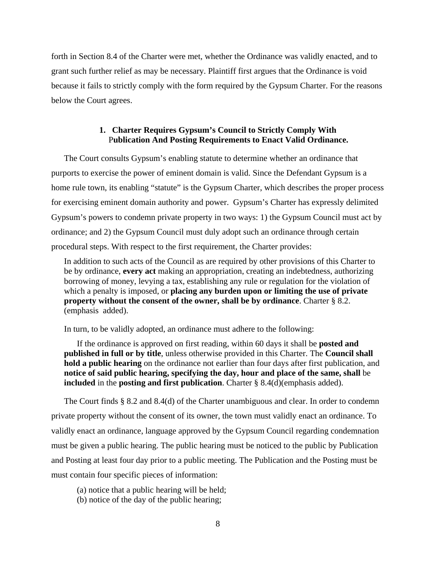forth in Section 8.4 of the Charter were met, whether the Ordinance was validly enacted, and to grant such further relief as may be necessary. Plaintiff first argues that the Ordinance is void because it fails to strictly comply with the form required by the Gypsum Charter. For the reasons below the Court agrees.

## **1. Charter Requires Gypsum's Council to Strictly Comply With** P**ublication And Posting Requirements to Enact Valid Ordinance.**

The Court consults Gypsum's enabling statute to determine whether an ordinance that purports to exercise the power of eminent domain is valid. Since the Defendant Gypsum is a home rule town, its enabling "statute" is the Gypsum Charter, which describes the proper process for exercising eminent domain authority and power. Gypsum's Charter has expressly delimited Gypsum's powers to condemn private property in two ways: 1) the Gypsum Council must act by ordinance; and 2) the Gypsum Council must duly adopt such an ordinance through certain procedural steps. With respect to the first requirement, the Charter provides:

In addition to such acts of the Council as are required by other provisions of this Charter to be by ordinance, **every act** making an appropriation, creating an indebtedness, authorizing borrowing of money, levying a tax, establishing any rule or regulation for the violation of which a penalty is imposed, or **placing any burden upon or limiting the use of private property without the consent of the owner, shall be by ordinance**. Charter § 8.2. (emphasis added).

In turn, to be validly adopted, an ordinance must adhere to the following:

If the ordinance is approved on first reading, within 60 days it shall be **posted and published in full or by title**, unless otherwise provided in this Charter. The **Council shall hold a public hearing** on the ordinance not earlier than four days after first publication, and **notice of said public hearing, specifying the day, hour and place of the same, shall** be **included** in the **posting and first publication**. Charter § 8.4(d)(emphasis added).

The Court finds § 8.2 and 8.4(d) of the Charter unambiguous and clear. In order to condemn private property without the consent of its owner, the town must validly enact an ordinance. To validly enact an ordinance, language approved by the Gypsum Council regarding condemnation must be given a public hearing. The public hearing must be noticed to the public by Publication and Posting at least four day prior to a public meeting. The Publication and the Posting must be must contain four specific pieces of information:

(a) notice that a public hearing will be held;

(b) notice of the day of the public hearing;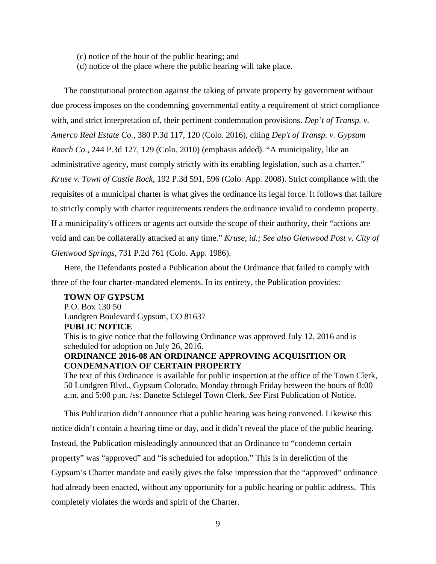- (c) notice of the hour of the public hearing; and
- (d) notice of the place where the public hearing will take place.

The constitutional protection against the taking of private property by government without due process imposes on the condemning governmental entity a requirement of strict compliance with, and strict interpretation of, their pertinent condemnation provisions. *Dep't of Transp. v. Amerco Real Estate Co.*, 380 P.3d 117, 120 (Colo. 2016), citing *Dep't of Transp. v. Gypsum Ranch Co.*, 244 P.3d 127, 129 (Colo. 2010) (emphasis added). "A municipality, like an administrative agency, must comply strictly with its enabling legislation, such as a charter." *Kruse v. Town of Castle Rock*, 192 P.3d 591, 596 (Colo. App. 2008). Strict compliance with the requisites of a municipal charter is what gives the ordinance its legal force. It follows that failure to strictly comply with charter requirements renders the ordinance invalid to condemn property. If a municipality's officers or agents act outside the scope of their authority, their "actions are void and can be collaterally attacked at any time." *Kruse, id.; See also Glenwood Post v. City of Glenwood Springs*, 731 P.2d 761 (Colo. App. 1986).

Here, the Defendants posted a Publication about the Ordinance that failed to comply with three of the four charter-mandated elements. In its entirety, the Publication provides:

# **TOWN OF GYPSUM**  P.O. Box 130 50

Lundgren Boulevard Gypsum, CO 81637 **PUBLIC NOTICE** 

This is to give notice that the following Ordinance was approved July 12, 2016 and is scheduled for adoption on July 26, 2016.

# **ORDINANCE 2016-08 AN ORDINANCE APPROVING ACQUISITION OR CONDEMNATION OF CERTAIN PROPERTY**

The text of this Ordinance is available for public inspection at the office of the Town Clerk, 50 Lundgren Blvd., Gypsum Colorado, Monday through Friday between the hours of 8:00 a.m. and 5:00 p.m. /ss: Danette Schlegel Town Clerk. *See* First Publication of Notice.

This Publication didn't announce that a public hearing was being convened. Likewise this notice didn't contain a hearing time or day, and it didn't reveal the place of the public hearing. Instead, the Publication misleadingly announced that an Ordinance to "condemn certain property" was "approved" and "is scheduled for adoption." This is in dereliction of the Gypsum's Charter mandate and easily gives the false impression that the "approved" ordinance had already been enacted, without any opportunity for a public hearing or public address. This completely violates the words and spirit of the Charter.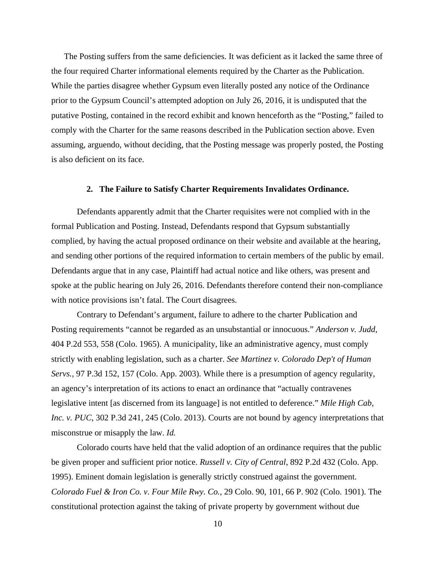The Posting suffers from the same deficiencies. It was deficient as it lacked the same three of the four required Charter informational elements required by the Charter as the Publication. While the parties disagree whether Gypsum even literally posted any notice of the Ordinance prior to the Gypsum Council's attempted adoption on July 26, 2016, it is undisputed that the putative Posting, contained in the record exhibit and known henceforth as the "Posting," failed to comply with the Charter for the same reasons described in the Publication section above. Even assuming, arguendo, without deciding, that the Posting message was properly posted, the Posting is also deficient on its face.

#### **2. The Failure to Satisfy Charter Requirements Invalidates Ordinance.**

Defendants apparently admit that the Charter requisites were not complied with in the formal Publication and Posting. Instead, Defendants respond that Gypsum substantially complied, by having the actual proposed ordinance on their website and available at the hearing, and sending other portions of the required information to certain members of the public by email. Defendants argue that in any case, Plaintiff had actual notice and like others, was present and spoke at the public hearing on July 26, 2016. Defendants therefore contend their non-compliance with notice provisions isn't fatal. The Court disagrees.

Contrary to Defendant's argument, failure to adhere to the charter Publication and Posting requirements "cannot be regarded as an unsubstantial or innocuous." *Anderson v. Judd*, 404 P.2d 553, 558 (Colo. 1965). A municipality, like an administrative agency, must comply strictly with enabling legislation, such as a charter. *See Martinez v. Colorado Dep't of Human Servs.,* 97 P.3d 152, 157 (Colo. App. 2003). While there is a presumption of agency regularity, an agency's interpretation of its actions to enact an ordinance that "actually contravenes legislative intent [as discerned from its language] is not entitled to deference." *Mile High Cab, Inc. v. PUC*, 302 P.3d 241, 245 (Colo. 2013). Courts are not bound by agency interpretations that misconstrue or misapply the law. *Id.*

Colorado courts have held that the valid adoption of an ordinance requires that the public be given proper and sufficient prior notice. *Russell v. City of Central*, 892 P.2d 432 (Colo. App. 1995). Eminent domain legislation is generally strictly construed against the government. *Colorado Fuel & Iron Co. v. Four Mile Rwy. Co.*, 29 Colo. 90, 101, 66 P. 902 (Colo. 1901). The constitutional protection against the taking of private property by government without due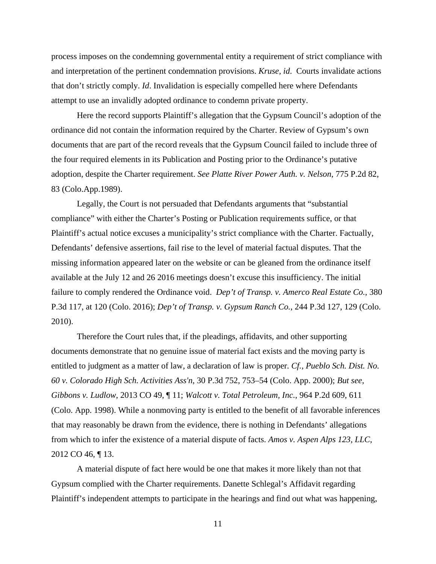process imposes on the condemning governmental entity a requirement of strict compliance with and interpretation of the pertinent condemnation provisions. *Kruse, id*. Courts invalidate actions that don't strictly comply. *Id*. Invalidation is especially compelled here where Defendants attempt to use an invalidly adopted ordinance to condemn private property.

Here the record supports Plaintiff's allegation that the Gypsum Council's adoption of the ordinance did not contain the information required by the Charter. Review of Gypsum's own documents that are part of the record reveals that the Gypsum Council failed to include three of the four required elements in its Publication and Posting prior to the Ordinance's putative adoption, despite the Charter requirement. *See Platte River Power Auth. v. Nelson*, 775 P.2d 82, 83 (Colo.App.1989).

Legally, the Court is not persuaded that Defendants arguments that "substantial compliance" with either the Charter's Posting or Publication requirements suffice, or that Plaintiff's actual notice excuses a municipality's strict compliance with the Charter. Factually, Defendants' defensive assertions, fail rise to the level of material factual disputes. That the missing information appeared later on the website or can be gleaned from the ordinance itself available at the July 12 and 26 2016 meetings doesn't excuse this insufficiency. The initial failure to comply rendered the Ordinance void. *Dep't of Transp. v. Amerco Real Estate Co.*, 380 P.3d 117, at 120 (Colo. 2016); *Dep't of Transp. v. Gypsum Ranch Co.*, 244 P.3d 127, 129 (Colo. 2010).

Therefore the Court rules that, if the pleadings, affidavits, and other supporting documents demonstrate that no genuine issue of material fact exists and the moving party is entitled to judgment as a matter of law, a declaration of law is proper. *Cf.*, *Pueblo Sch. Dist. No. 60 v. Colorado High Sch. Activities Ass'n*, 30 P.3d 752, 753–54 (Colo. App. 2000); *But see*, *Gibbons v. Ludlow*, 2013 CO 49, ¶ 11; *Walcott v. Total Petroleum, Inc.*, 964 P.2d 609, 611 (Colo. App. 1998). While a nonmoving party is entitled to the benefit of all favorable inferences that may reasonably be drawn from the evidence, there is nothing in Defendants' allegations from which to infer the existence of a material dispute of facts. *Amos v. Aspen Alps 123, LLC*, 2012 CO 46, ¶ 13.

A material dispute of fact here would be one that makes it more likely than not that Gypsum complied with the Charter requirements. Danette Schlegal's Affidavit regarding Plaintiff's independent attempts to participate in the hearings and find out what was happening,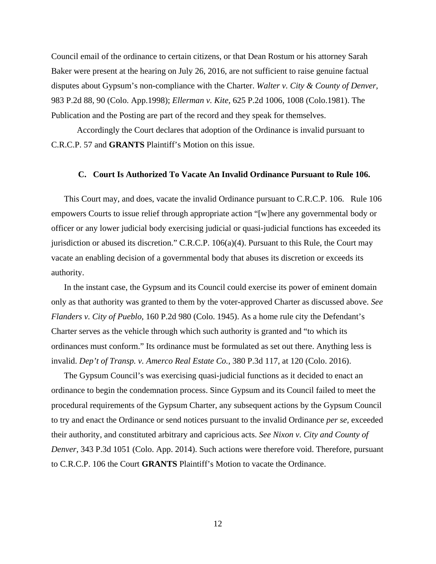Council email of the ordinance to certain citizens, or that Dean Rostum or his attorney Sarah Baker were present at the hearing on July 26, 2016, are not sufficient to raise genuine factual disputes about Gypsum's non-compliance with the Charter. *Walter v. City & County of Denver,* 983 P.2d 88, 90 (Colo. App.1998); *Ellerman v. Kite,* 625 P.2d 1006, 1008 (Colo.1981). The Publication and the Posting are part of the record and they speak for themselves.

Accordingly the Court declares that adoption of the Ordinance is invalid pursuant to C.R.C.P. 57 and **GRANTS** Plaintiff's Motion on this issue.

#### **C. Court Is Authorized To Vacate An Invalid Ordinance Pursuant to Rule 106.**

This Court may, and does, vacate the invalid Ordinance pursuant to C.R.C.P. 106. Rule 106 empowers Courts to issue relief through appropriate action "[w]here any governmental body or officer or any lower judicial body exercising judicial or quasi-judicial functions has exceeded its jurisdiction or abused its discretion." C.R.C.P. 106(a)(4). Pursuant to this Rule, the Court may vacate an enabling decision of a governmental body that abuses its discretion or exceeds its authority.

In the instant case, the Gypsum and its Council could exercise its power of eminent domain only as that authority was granted to them by the voter-approved Charter as discussed above. *See Flanders v. City of Pueblo*, 160 P.2d 980 (Colo. 1945). As a home rule city the Defendant's Charter serves as the vehicle through which such authority is granted and "to which its ordinances must conform." Its ordinance must be formulated as set out there. Anything less is invalid. *Dep't of Transp. v. Amerco Real Estate Co.*, 380 P.3d 117, at 120 (Colo. 2016).

The Gypsum Council's was exercising quasi-judicial functions as it decided to enact an ordinance to begin the condemnation process. Since Gypsum and its Council failed to meet the procedural requirements of the Gypsum Charter, any subsequent actions by the Gypsum Council to try and enact the Ordinance or send notices pursuant to the invalid Ordinance *per se,* exceeded their authority, and constituted arbitrary and capricious acts. *See Nixon v. City and County of Denver*, 343 P.3d 1051 (Colo. App. 2014). Such actions were therefore void. Therefore, pursuant to C.R.C.P. 106 the Court **GRANTS** Plaintiff's Motion to vacate the Ordinance.